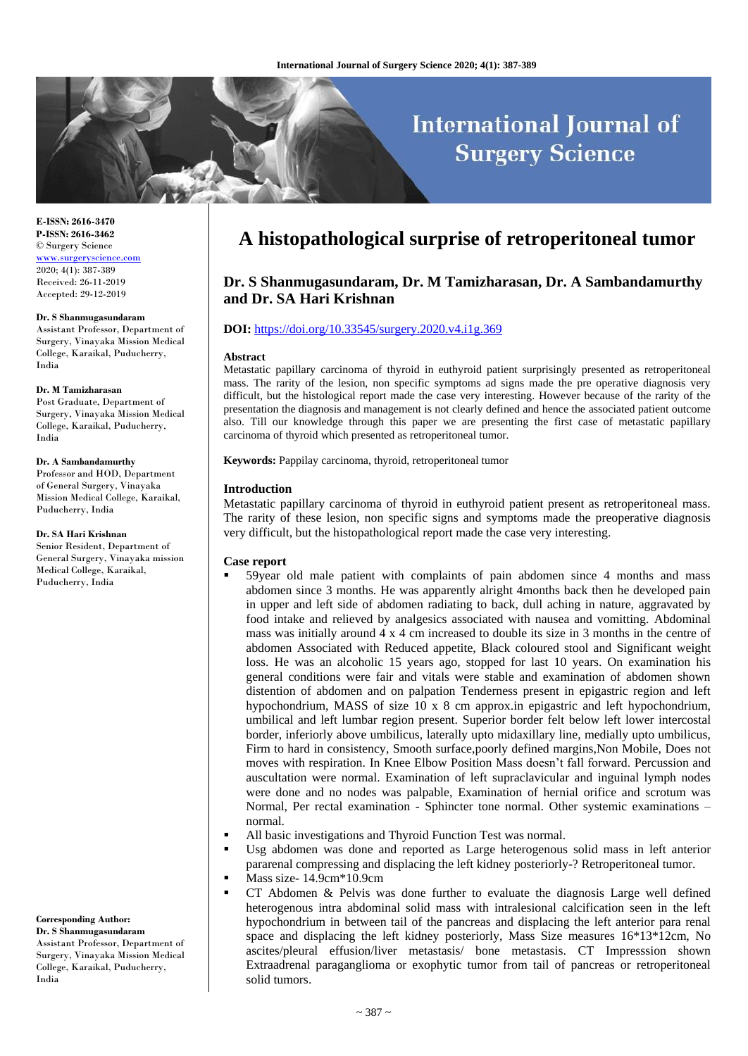# **International Journal of Surgery Science**

**E-ISSN: 2616-3470 P-ISSN: 2616-3462** © Surgery Science [www.surgeryscience.com](http://www.surgeryscience.com/) 2020; 4(1): 387-389 Received: 26-11-2019 Accepted: 29-12-2019

#### **Dr. S Shanmugasundaram**

Assistant Professor, Department of Surgery, Vinayaka Mission Medical College, Karaikal, Puducherry, India

#### **Dr. M Tamizharasan**

Post Graduate, Department of Surgery, Vinayaka Mission Medical College, Karaikal, Puducherry, India

#### **Dr. A Sambandamurthy**

Professor and HOD, Department of General Surgery, Vinayaka Mission Medical College, Karaikal, Puducherry, India

#### **Dr. SA Hari Krishnan**

Senior Resident, Department of General Surgery, Vinayaka mission Medical College, Karaikal, Puducherry, India

**Corresponding Author: Dr. S Shanmugasundaram**

Assistant Professor, Department of Surgery, Vinayaka Mission Medical College, Karaikal, Puducherry, India

## **A histopathological surprise of retroperitoneal tumor**

## **Dr. S Shanmugasundaram, Dr. M Tamizharasan, Dr. A Sambandamurthy and Dr. SA Hari Krishnan**

### **DOI:** <https://doi.org/10.33545/surgery.2020.v4.i1g.369>

#### **Abstract**

Metastatic papillary carcinoma of thyroid in euthyroid patient surprisingly presented as retroperitoneal mass. The rarity of the lesion, non specific symptoms ad signs made the pre operative diagnosis very difficult, but the histological report made the case very interesting. However because of the rarity of the presentation the diagnosis and management is not clearly defined and hence the associated patient outcome also. Till our knowledge through this paper we are presenting the first case of metastatic papillary carcinoma of thyroid which presented as retroperitoneal tumor.

**Keywords:** Pappilay carcinoma, thyroid, retroperitoneal tumor

## **Introduction**

Metastatic papillary carcinoma of thyroid in euthyroid patient present as retroperitoneal mass. The rarity of these lesion, non specific signs and symptoms made the preoperative diagnosis very difficult, but the histopathological report made the case very interesting.

#### **Case report**

- 59year old male patient with complaints of pain abdomen since 4 months and mass abdomen since 3 months. He was apparently alright 4months back then he developed pain in upper and left side of abdomen radiating to back, dull aching in nature, aggravated by food intake and relieved by analgesics associated with nausea and vomitting. Abdominal mass was initially around 4 x 4 cm increased to double its size in 3 months in the centre of abdomen Associated with Reduced appetite, Black coloured stool and Significant weight loss. He was an alcoholic 15 years ago, stopped for last 10 years. On examination his general conditions were fair and vitals were stable and examination of abdomen shown distention of abdomen and on palpation Tenderness present in epigastric region and left hypochondrium, MASS of size 10 x 8 cm approx.in epigastric and left hypochondrium, umbilical and left lumbar region present. Superior border felt below left lower intercostal border, inferiorly above umbilicus, laterally upto midaxillary line, medially upto umbilicus, Firm to hard in consistency, Smooth surface,poorly defined margins,Non Mobile, Does not moves with respiration. In Knee Elbow Position Mass doesn't fall forward. Percussion and auscultation were normal. Examination of left supraclavicular and inguinal lymph nodes were done and no nodes was palpable, Examination of hernial orifice and scrotum was Normal, Per rectal examination - Sphincter tone normal. Other systemic examinations – normal.
- All basic investigations and Thyroid Function Test was normal.
- Usg abdomen was done and reported as Large heterogenous solid mass in left anterior pararenal compressing and displacing the left kidney posteriorly-? Retroperitoneal tumor.
- Mass size- 14.9cm\*10.9cm
- CT Abdomen & Pelvis was done further to evaluate the diagnosis Large well defined heterogenous intra abdominal solid mass with intralesional calcification seen in the left hypochondrium in between tail of the pancreas and displacing the left anterior para renal space and displacing the left kidney posteriorly, Mass Size measures 16\*13\*12cm, No ascites/pleural effusion/liver metastasis/ bone metastasis. CT Impresssion shown Extraadrenal paraganglioma or exophytic tumor from tail of pancreas or retroperitoneal solid tumors.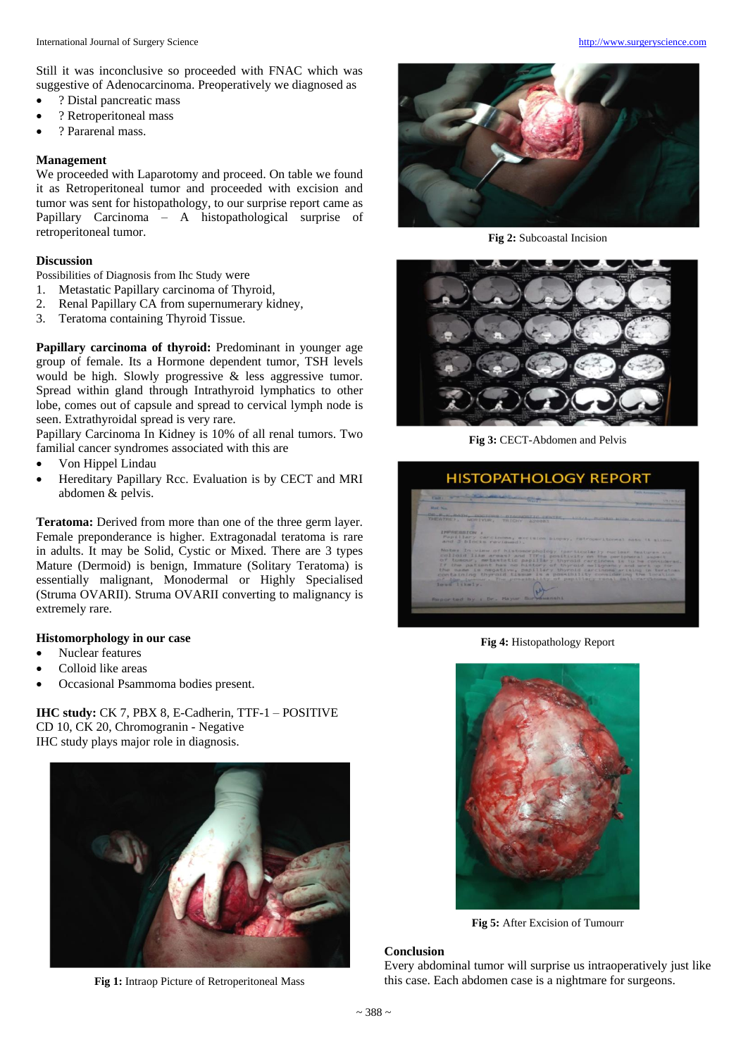Still it was inconclusive so proceeded with FNAC which was suggestive of Adenocarcinoma. Preoperatively we diagnosed as

- ? Distal pancreatic mass
- ? Retroperitoneal mass
- ? Pararenal mass.

#### **Management**

We proceeded with Laparotomy and proceed. On table we found it as Retroperitoneal tumor and proceeded with excision and tumor was sent for histopathology, to our surprise report came as Papillary Carcinoma – A histopathological surprise of retroperitoneal tumor.

## **Discussion**

Possibilities of Diagnosis from Ihc Study were

- 1. Metastatic Papillary carcinoma of Thyroid,
- 2. Renal Papillary CA from supernumerary kidney,
- 3. Teratoma containing Thyroid Tissue.

**Papillary carcinoma of thyroid:** Predominant in younger age group of female. Its a Hormone dependent tumor, TSH levels would be high. Slowly progressive & less aggressive tumor. Spread within gland through Intrathyroid lymphatics to other lobe, comes out of capsule and spread to cervical lymph node is seen. Extrathyroidal spread is very rare.

Papillary Carcinoma In Kidney is 10% of all renal tumors. Two familial cancer syndromes associated with this are

- Von Hippel Lindau
- Hereditary Papillary Rcc. Evaluation is by CECT and MRI abdomen & pelvis.

**Teratoma:** Derived from more than one of the three germ layer. Female preponderance is higher. Extragonadal teratoma is rare in adults. It may be Solid, Cystic or Mixed. There are 3 types Mature (Dermoid) is benign, Immature (Solitary Teratoma) is essentially malignant, Monodermal or Highly Specialised (Struma OVARII). Struma OVARII converting to malignancy is extremely rare.

## **Histomorphology in our case**

- Nuclear features
- Colloid like areas
- Occasional Psammoma bodies present.

**IHC study:** CK 7, PBX 8, E-Cadherin, TTF-1 – POSITIVE CD 10, CK 20, Chromogranin - Negative IHC study plays major role in diagnosis.



**Fig 1:** Intraop Picture of Retroperitoneal Mass



**Fig 2:** Subcoastal Incision



**Fig 3:** CECT-Abdomen and Pelvis



**Fig 4:** Histopathology Report



**Fig 5:** After Excision of Tumourr

#### **Conclusion**

Every abdominal tumor will surprise us intraoperatively just like this case. Each abdomen case is a nightmare for surgeons.